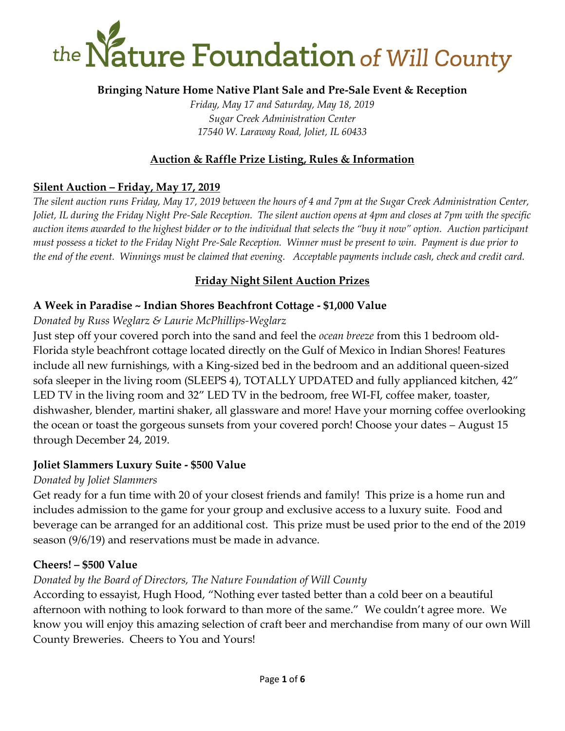

### **Bringing Nature Home Native Plant Sale and Pre-Sale Event & Reception**

*Friday, May 17 and Saturday, May 18, 2019 Sugar Creek Administration Center 17540 W. Laraway Road, Joliet, IL 60433*

### **Auction & Raffle Prize Listing, Rules & Information**

#### **Silent Auction – Friday, May 17, 2019**

*The silent auction runs Friday, May 17, 2019 between the hours of 4 and 7pm at the Sugar Creek Administration Center, Joliet, IL during the Friday Night Pre-Sale Reception. The silent auction opens at 4pm and closes at 7pm with the specific auction items awarded to the highest bidder or to the individual that selects the "buy it now" option. Auction participant must possess a ticket to the Friday Night Pre-Sale Reception. Winner must be present to win. Payment is due prior to the end of the event. Winnings must be claimed that evening. Acceptable payments include cash, check and credit card.* 

### **Friday Night Silent Auction Prizes**

#### **A Week in Paradise ~ Indian Shores Beachfront Cottage - \$1,000 Value**

#### *Donated by Russ Weglarz & Laurie McPhillips-Weglarz*

Just step off your covered porch into the sand and feel the *ocean breeze* from this 1 bedroom old-Florida style beachfront cottage located directly on the Gulf of Mexico in Indian Shores! Features include all new furnishings, with a King-sized bed in the bedroom and an additional queen-sized sofa sleeper in the living room (SLEEPS 4), TOTALLY UPDATED and fully applianced kitchen, 42" LED TV in the living room and 32" LED TV in the bedroom, free WI-FI, coffee maker, toaster, dishwasher, blender, martini shaker, all glassware and more! Have your morning coffee overlooking the ocean or toast the gorgeous sunsets from your covered porch! Choose your dates – August 15 through December 24, 2019.

#### **Joliet Slammers Luxury Suite - \$500 Value**

#### *Donated by Joliet Slammers*

Get ready for a fun time with 20 of your closest friends and family! This prize is a home run and includes admission to the game for your group and exclusive access to a luxury suite. Food and beverage can be arranged for an additional cost. This prize must be used prior to the end of the 2019 season (9/6/19) and reservations must be made in advance.

#### **Cheers! – \$500 Value**

#### *Donated by the Board of Directors, The Nature Foundation of Will County*

According to essayist, Hugh Hood, "Nothing ever tasted better than a cold beer on a beautiful afternoon with nothing to look forward to than more of the same." We couldn't agree more. We know you will enjoy this amazing selection of craft beer and merchandise from many of our own Will County Breweries. Cheers to You and Yours!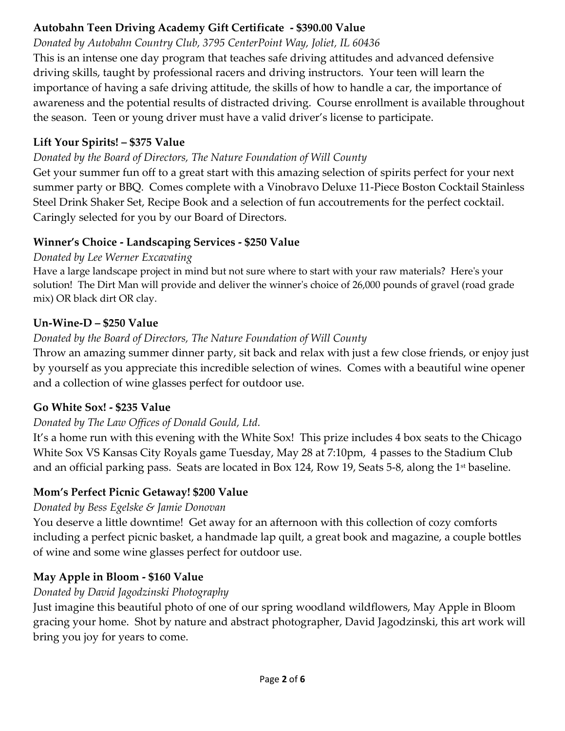# **Autobahn Teen Driving Academy Gift Certificate - \$390.00 Value**

# *Donated by Autobahn Country Club, 3795 CenterPoint Way, Joliet, IL 60436*

This is an intense one day program that teaches safe driving attitudes and advanced defensive driving skills, taught by professional racers and driving instructors. Your teen will learn the importance of having a safe driving attitude, the skills of how to handle a car, the importance of awareness and the potential results of distracted driving. Course enrollment is available throughout the season. Teen or young driver must have a valid driver's license to participate.

# **Lift Your Spirits! – \$375 Value**

# *Donated by the Board of Directors, The Nature Foundation of Will County*

Get your summer fun off to a great start with this amazing selection of spirits perfect for your next summer party or BBQ. Comes complete with a Vinobravo Deluxe 11-Piece Boston Cocktail Stainless Steel Drink Shaker Set, Recipe Book and a selection of fun accoutrements for the perfect cocktail. Caringly selected for you by our Board of Directors.

# **Winner's Choice - Landscaping Services - \$250 Value**

# *Donated by Lee Werner Excavating*

Have a large landscape project in mind but not sure where to start with your raw materials? Here's your solution! The Dirt Man will provide and deliver the winner's choice of 26,000 pounds of gravel (road grade mix) OR black dirt OR clay.

# **Un-Wine-D – \$250 Value**

# *Donated by the Board of Directors, The Nature Foundation of Will County*

Throw an amazing summer dinner party, sit back and relax with just a few close friends, or enjoy just by yourself as you appreciate this incredible selection of wines. Comes with a beautiful wine opener and a collection of wine glasses perfect for outdoor use.

# **Go White Sox! - \$235 Value**

# *Donated by The Law Offices of Donald Gould, Ltd.*

It's a home run with this evening with the White Sox! This prize includes 4 box seats to the Chicago White Sox VS Kansas City Royals game Tuesday, May 28 at 7:10pm, 4 passes to the Stadium Club and an official parking pass. Seats are located in Box 124, Row 19, Seats 5-8, along the 1st baseline.

# **Mom's Perfect Picnic Getaway! \$200 Value**

# *Donated by Bess Egelske & Jamie Donovan*

You deserve a little downtime! Get away for an afternoon with this collection of cozy comforts including a perfect picnic basket, a handmade lap quilt, a great book and magazine, a couple bottles of wine and some wine glasses perfect for outdoor use.

# **May Apple in Bloom - \$160 Value**

# *Donated by David Jagodzinski Photography*

Just imagine this beautiful photo of one of our spring woodland wildflowers, May Apple in Bloom gracing your home. Shot by nature and abstract photographer, David Jagodzinski, this art work will bring you joy for years to come.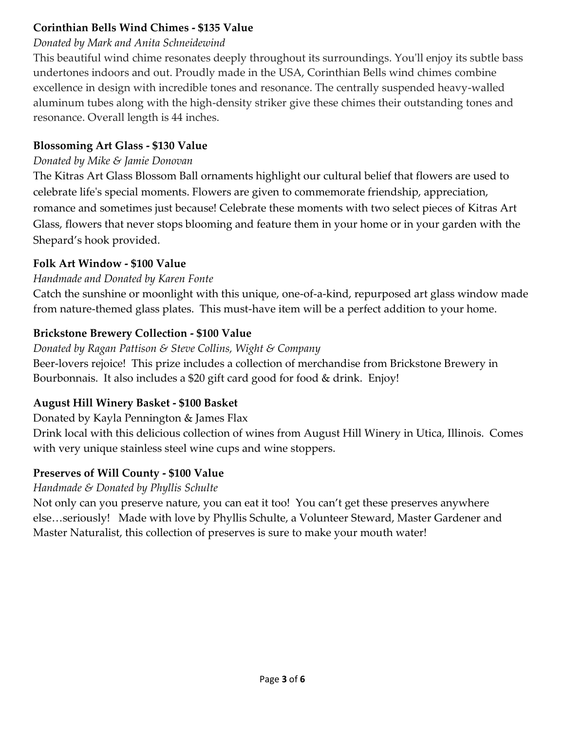### **Corinthian Bells Wind Chimes - \$135 Value**

### *Donated by Mark and Anita Schneidewind*

This beautiful wind chime resonates deeply throughout its surroundings. You'll enjoy its subtle bass undertones indoors and out. Proudly made in the USA, Corinthian Bells wind chimes combine excellence in design with incredible tones and resonance. The centrally suspended heavy-walled aluminum tubes along with the high-density striker give these chimes their outstanding tones and resonance. Overall length is 44 inches.

### **Blossoming Art Glass - \$130 Value**

### *Donated by Mike & Jamie Donovan*

The Kitras Art Glass Blossom Ball ornaments highlight our cultural belief that flowers are used to celebrate life's special moments. Flowers are given to commemorate friendship, appreciation, romance and sometimes just because! Celebrate these moments with two select pieces of Kitras Art Glass, flowers that never stops blooming and feature them in your home or in your garden with the Shepard's hook provided.

# **Folk Art Window - \$100 Value**

# *Handmade and Donated by Karen Fonte*

Catch the sunshine or moonlight with this unique, one-of-a-kind, repurposed art glass window made from nature-themed glass plates. This must-have item will be a perfect addition to your home.

# **Brickstone Brewery Collection - \$100 Value**

*Donated by Ragan Pattison & Steve Collins, Wight & Company*  Beer-lovers rejoice! This prize includes a collection of merchandise from Brickstone Brewery in Bourbonnais. It also includes a \$20 gift card good for food & drink. Enjoy!

### **August Hill Winery Basket - \$100 Basket**

Donated by Kayla Pennington & James Flax

Drink local with this delicious collection of wines from August Hill Winery in Utica, Illinois. Comes with very unique stainless steel wine cups and wine stoppers.

# **Preserves of Will County - \$100 Value**

### *Handmade & Donated by Phyllis Schulte*

Not only can you preserve nature, you can eat it too! You can't get these preserves anywhere else…seriously! Made with love by Phyllis Schulte, a Volunteer Steward, Master Gardener and Master Naturalist, this collection of preserves is sure to make your mouth water!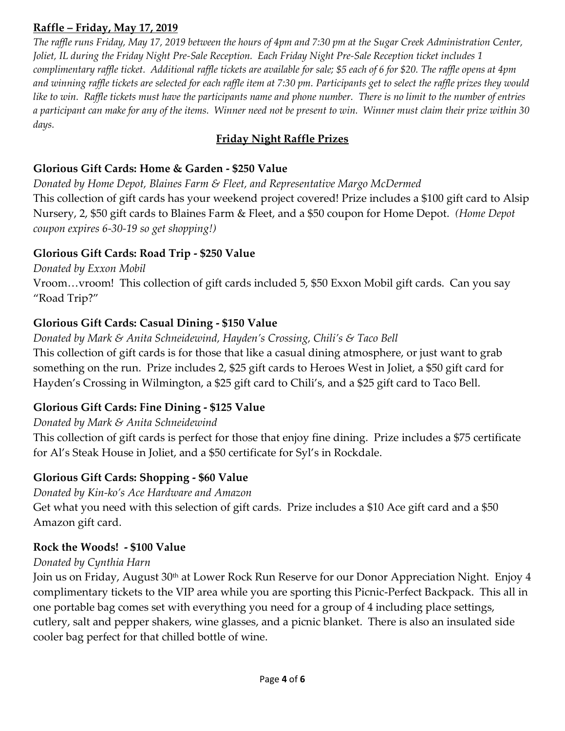#### **Raffle – Friday, May 17, 2019**

*The raffle runs Friday, May 17, 2019 between the hours of 4pm and 7:30 pm at the Sugar Creek Administration Center, Joliet, IL during the Friday Night Pre-Sale Reception. Each Friday Night Pre-Sale Reception ticket includes 1 complimentary raffle ticket. Additional raffle tickets are available for sale; \$5 each of 6 for \$20. The raffle opens at 4pm and winning raffle tickets are selected for each raffle item at 7:30 pm. Participants get to select the raffle prizes they would like to win. Raffle tickets must have the participants name and phone number. There is no limit to the number of entries a participant can make for any of the items. Winner need not be present to win. Winner must claim their prize within 30 days.* 

### **Friday Night Raffle Prizes**

#### **Glorious Gift Cards: Home & Garden - \$250 Value**

*Donated by Home Depot, Blaines Farm & Fleet, and Representative Margo McDermed*  This collection of gift cards has your weekend project covered! Prize includes a \$100 gift card to Alsip Nursery, 2, \$50 gift cards to Blaines Farm & Fleet, and a \$50 coupon for Home Depot*. (Home Depot coupon expires 6-30-19 so get shopping!)* 

#### **Glorious Gift Cards: Road Trip - \$250 Value**

*Donated by Exxon Mobil* Vroom…vroom! This collection of gift cards included 5, \$50 Exxon Mobil gift cards. Can you say "Road Trip?"

### **Glorious Gift Cards: Casual Dining - \$150 Value**

*Donated by Mark & Anita Schneidewind, Hayden's Crossing, Chili's & Taco Bell*  This collection of gift cards is for those that like a casual dining atmosphere, or just want to grab something on the run. Prize includes 2, \$25 gift cards to Heroes West in Joliet, a \$50 gift card for Hayden's Crossing in Wilmington, a \$25 gift card to Chili's, and a \$25 gift card to Taco Bell.

#### **Glorious Gift Cards: Fine Dining - \$125 Value**

#### *Donated by Mark & Anita Schneidewind*

This collection of gift cards is perfect for those that enjoy fine dining. Prize includes a \$75 certificate for Al's Steak House in Joliet, and a \$50 certificate for Syl's in Rockdale.

#### **Glorious Gift Cards: Shopping - \$60 Value**

*Donated by Kin-ko's Ace Hardware and Amazon* 

Get what you need with this selection of gift cards. Prize includes a \$10 Ace gift card and a \$50 Amazon gift card.

#### **Rock the Woods! - \$100 Value**

#### *Donated by Cynthia Harn*

Join us on Friday, August 30<sup>th</sup> at Lower Rock Run Reserve for our Donor Appreciation Night. Enjoy 4 complimentary tickets to the VIP area while you are sporting this Picnic-Perfect Backpack. This all in one portable bag comes set with everything you need for a group of 4 including place settings, cutlery, salt and pepper shakers, wine glasses, and a picnic blanket. There is also an insulated side cooler bag perfect for that chilled bottle of wine.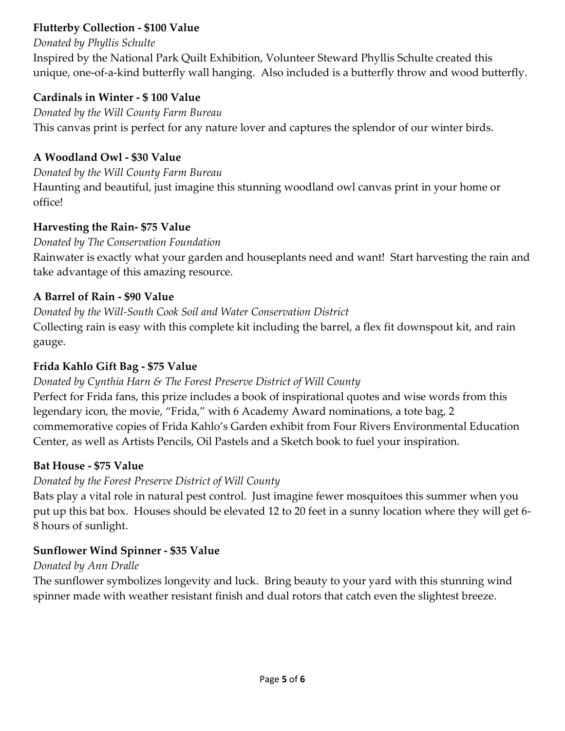### **Flutterby Collection - \$100 Value**

#### *Donated by Phyllis Schulte*

Inspired by the National Park Quilt Exhibition, Volunteer Steward Phyllis Schulte created this unique, one-of-a-kind butterfly wall hanging. Also included is a butterfly throw and wood butterfly.

#### **Cardinals in Winter - \$ 100 Value**

*Donated by the Will County Farm Bureau* This canvas print is perfect for any nature lover and captures the splendor of our winter birds.

### **A Woodland Owl - \$30 Value**

#### *Donated by the Will County Farm Bureau*

Haunting and beautiful, just imagine this stunning woodland owl canvas print in your home or office!

### **Harvesting the Rain- \$75 Value**

### *Donated by The Conservation Foundation*

Rainwater is exactly what your garden and houseplants need and want! Start harvesting the rain and take advantage of this amazing resource.

### **A Barrel of Rain - \$90 Value**

*Donated by the Will-South Cook Soil and Water Conservation District*  Collecting rain is easy with this complete kit including the barrel, a flex fit downspout kit, and rain gauge.

### **Frida Kahlo Gift Bag - \$75 Value**

### *Donated by Cynthia Harn & The Forest Preserve District of Will County*

Perfect for Frida fans, this prize includes a book of inspirational quotes and wise words from this legendary icon, the movie, "Frida," with 6 Academy Award nominations, a tote bag, 2 commemorative copies of Frida Kahlo's Garden exhibit from Four Rivers Environmental Education Center, as well as Artists Pencils, Oil Pastels and a Sketch book to fuel your inspiration.

#### **Bat House - \$75 Value**

### *Donated by the Forest Preserve District of Will County*

Bats play a vital role in natural pest control. Just imagine fewer mosquitoes this summer when you put up this bat box. Houses should be elevated 12 to 20 feet in a sunny location where they will get 6- 8 hours of sunlight.

### **Sunflower Wind Spinner - \$35 Value**

#### *Donated by Ann Dralle*

The sunflower symbolizes longevity and luck. Bring beauty to your yard with this stunning wind spinner made with weather resistant finish and dual rotors that catch even the slightest breeze.